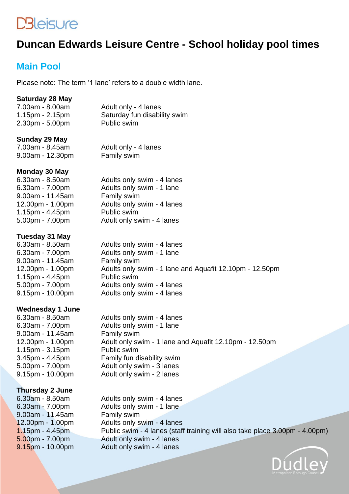# **DBleisure**

## **Duncan Edwards Leisure Centre - School holiday pool times**

### **Main Pool**

Please note: The term '1 lane' refers to a double width lane.

#### **Saturday 28 May**

| 7.00am - 8.00am       | Adult only - 4 lanes         |
|-----------------------|------------------------------|
| $1.15$ pm - $2.15$ pm | Saturday fun disability swim |
| $2.30pm - 5.00pm$     | Public swim                  |

#### **Sunday 29 May**

7.00am - 8.45am Adult only - 4 lanes 9.00am - 12.30pm Family swim

#### **Monday 30 May**

6.30am - 8.50am Adults only swim - 4 lanes  $9.00$ am - 11.45am 1.15pm - 4.45pm Public swim

6.30am - 7.00pm Adults only swim - 1 lane<br>9.00am - 11.45am Family swim 12.00pm - 1.00pm Adults only swim - 4 lanes 5.00pm - 7.00pm Adult only swim - 4 lanes

#### **Tuesday 31 May**

6.30am - 8.50am Adults only swim - 4 lanes 6.30am - 7.00pm Adults only swim - 1 lane 9.00am - 11.45am Family swim 12.00pm - 1.00pm Adults only swim - 1 lane and Aquafit 12.10pm - 12.50pm 1.15pm - 4.45pm Public swim 5.00pm - 7.00pm Adults only swim - 4 lanes 9.15pm - 10.00pm Adults only swim - 4 lanes

#### **Wednesday 1 June**

6.30am - 8.50am Adults only swim - 4 lanes 6.30am - 7.00pm Adults only swim - 1 lane 9.00am - 11.45am Family swim 12.00pm - 1.00pm Adult only swim - 1 lane and Aquafit 12.10pm - 12.50pm 1.15pm - 3.15pm Public swim 3.45pm - 4.45pm Family fun disability swim 5.00pm - 7.00pm Adult only swim - 3 lanes Adult only swim - 2 lanes

#### **Thursday 2 June**

6.30am - 8.50am Adults only swim - 4 lanes 6.30am - 7.00pm Adults only swim - 1 lane 9.00am - 11.45am Family swim 12.00pm - 1.00pm Adults only swim - 4 lanes 1.15pm - 4.45pm Public swim - 4 lanes (staff training will also take place 3.00pm - 4.00pm) 5.00pm - 7.00pm Adult only swim - 4 lanes 9.15pm - 10.00pm Adult only swim - 4 lanes